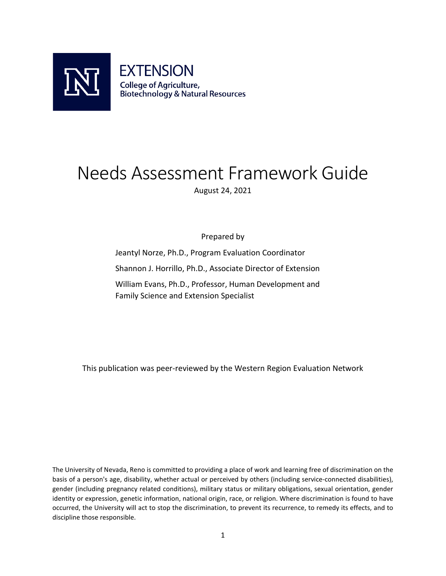<span id="page-0-0"></span>

# Needs Assessment Framework Guide August 24, 2021

Prepared by

Jeantyl Norze, Ph.D., Program Evaluation Coordinator Shannon J. Horrillo, Ph.D., Associate Director of Extension William Evans, Ph.D., Professor, Human Development and Family Science and Extension Specialist

This publication was peer-reviewed by the Western Region Evaluation Network

The University of Nevada, Reno is committed to providing a place of work and learning free of discrimination on the basis of a person's age, disability, whether actual or perceived by others (including service-connected disabilities), gender (including pregnancy related conditions), military status or military obligations, sexual orientation, gender identity or expression, genetic information, national origin, race, or religion. Where discrimination is found to have occurred, the University will act to stop the discrimination, to prevent its recurrence, to remedy its effects, and to discipline those responsible.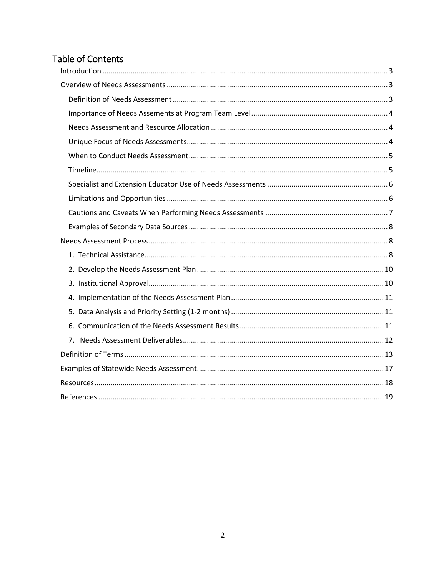## Table of Contents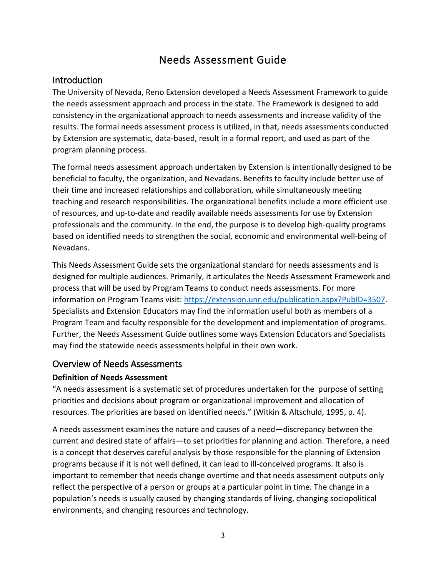## Needs Assessment Guide

## <span id="page-2-0"></span>Introduction

 The University of Nevada, Reno Extension developed a Needs Assessment Framework to guide by Extension are systematic, data-based, result in a formal report, and used as part of the the needs assessment approach and process in the state. The Framework is designed to add consistency in the organizational approach to needs assessments and increase validity of the results. The formal needs assessment process is utilized, in that, needs assessments conducted program planning process.

 The formal needs assessment approach undertaken by Extension is intentionally designed to be their time and increased relationships and collaboration, while simultaneously meeting of resources, and up-to-date and readily available needs assessments for use by Extension professionals and the community. In the end, the purpose is to develop high-quality programs beneficial to faculty, the organization, and Nevadans. Benefits to faculty include better use of teaching and research responsibilities. The organizational benefits include a more efficient use based on identified needs to strengthen the social, economic and environmental well-being of Nevadans.

 This Needs Assessment Guide sets the organizational standard for needs assessments and is process that will be used by Program Teams to conduct needs assessments. For more information on Program Teams visit[: https://extension.unr.edu/publication.aspx?PubID=3507.](https://extension.unr.edu/publication.aspx?PubID=3507) Specialists and Extension Educators may find the information useful both as members of a designed for multiple audiences. Primarily, it articulates the Needs Assessment Framework and Program Team and faculty responsible for the development and implementation of programs. Further, the Needs Assessment Guide outlines some ways Extension Educators and Specialists may find the statewide needs assessments helpful in their own work.

## <span id="page-2-1"></span>Overview of Needs Assessments

## <span id="page-2-2"></span> **Definition of Needs Assessment**

 resources. The priorities are based on identified needs." (Witkin & Altschuld, 1995, p. 4). "A needs assessment is a systematic set of procedures undertaken for the purpose of setting priorities and decisions about program or organizational improvement and allocation of

 current and desired state of affairs—to set priorities for planning and action. Therefore, a need programs because if it is not well defined, it can lead to ill-conceived programs. It also is reflect the perspective of a person or groups at a particular point in time. The change in a population's needs is usually caused by changing standards of living, changing sociopolitical environments, and changing resources and technology.<br>3 A needs assessment examines the nature and causes of a need—discrepancy between the is a concept that deserves careful analysis by those responsible for the planning of Extension important to remember that needs change overtime and that needs assessment outputs only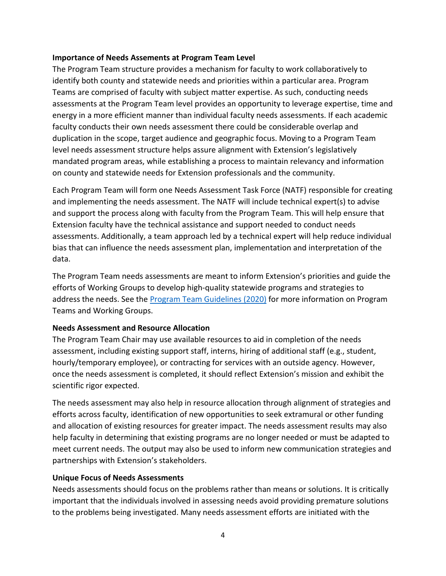## <span id="page-3-0"></span> **Importance of Needs Assements at Program Team Level**

 identify both county and statewide needs and priorities within a particular area. Program assessments at the Program Team level provides an opportunity to leverage expertise, time and on county and statewide needs for Extension professionals and the community. The Program Team structure provides a mechanism for faculty to work collaboratively to Teams are comprised of faculty with subject matter expertise. As such, conducting needs energy in a more efficient manner than individual faculty needs assessments. If each academic faculty conducts their own needs assessment there could be considerable overlap and duplication in the scope, target audience and geographic focus. Moving to a Program Team level needs assessment structure helps assure alignment with Extension's legislatively mandated program areas, while establishing a process to maintain relevancy and information

 Each Program Team will form one Needs Assessment Task Force (NATF) responsible for creating and support the process along with faculty from the Program Team. This will help ensure that assessments. Additionally, a team approach led by a technical expert will help reduce individual bias that can influence the needs assessment plan, implementation and interpretation of the and implementing the needs assessment. The NATF will include technical expert(s) to advise Extension faculty have the technical assistance and support needed to conduct needs data.

 efforts of Working Groups to develop high-quality statewide programs and strategies to address the needs. See the [Program Team Guidelines \(2020\)](https://extension.unr.edu/publication.aspx?PubID=3507) for more information on Program The Program Team needs assessments are meant to inform Extension's priorities and guide the Teams and Working Groups.

## <span id="page-3-1"></span> **Needs Assessment and Resource Allocation**

The Program Team Chair may use available resources to aid in completion of the needs assessment, including existing support staff, interns, hiring of additional staff (e.g., student, hourly/temporary employee), or contracting for services with an outside agency. However, once the needs assessment is completed, it should reflect Extension's mission and exhibit the scientific rigor expected.

 The needs assessment may also help in resource allocation through alignment of strategies and efforts across faculty, identification of new opportunities to seek extramural or other funding and allocation of existing resources for greater impact. The needs assessment results may also help faculty in determining that existing programs are no longer needed or must be adapted to meet current needs. The output may also be used to inform new communication strategies and partnerships with Extension's stakeholders.

## <span id="page-3-2"></span>**Unique Focus of Needs Assessments**

 Needs assessments should focus on the problems rather than means or solutions. It is critically to the problems being investigated. Many needs assessment efforts are initiated with the important that the individuals involved in assessing needs avoid providing premature solutions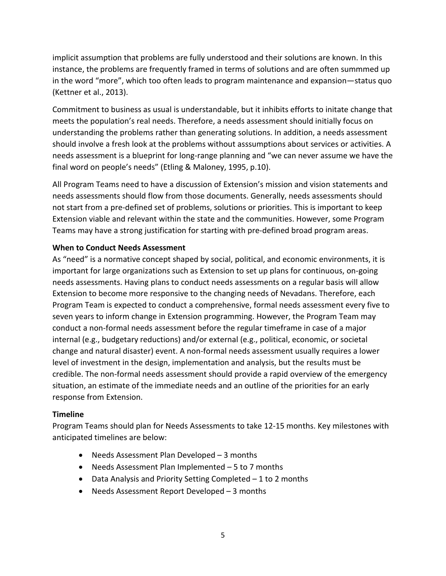instance, the problems are frequently framed in terms of solutions and are often summmed up in the word "more", which too often leads to program maintenance and expansion—status quo (Kettner et al., 2013). implicit assumption that problems are fully understood and their solutions are known. In this

 meets the population's real needs. Therefore, a needs assessment should initially focus on should involve a fresh look at the problems without asssumptions about services or activities. A needs assessment is a blueprint for long-range planning and "we can never assume we have the final word on people's needs" (Etling & Maloney, 1995, p.10). Commitment to business as usual is understandable, but it inhibits efforts to initate change that understanding the problems rather than generating solutions. In addition, a needs assessment

final word on people's needs" (Etling & Maloney, 1995, p.10).<br>All Program Teams need to have a discussion of Extension's mission and vision statements and not start from a pre-defined set of problems, solutions or priorities. This is important to keep Teams may have a strong justification for starting with pre-defined broad program areas. needs assessments should flow from those documents. Generally, needs assessments should Extension viable and relevant within the state and the communities. However, some Program

## <span id="page-4-0"></span>**When to Conduct Needs Assessment**

 As "need" is a normative concept shaped by social, political, and economic environments, it is Program Team is expected to conduct a comprehensive, formal needs assessment every five to conduct a non-formal needs assessment before the regular timeframe in case of a major change and natural disaster) event. A non-formal needs assessment usually requires a lower situation, an estimate of the immediate needs and an outline of the priorities for an early response from Extension. important for large organizations such as Extension to set up plans for continuous, on-going needs assessments. Having plans to conduct needs assessments on a regular basis will allow Extension to become more responsive to the changing needs of Nevadans. Therefore, each seven years to inform change in Extension programming. However, the Program Team may internal (e.g., budgetary reductions) and/or external (e.g., political, economic, or societal level of investment in the design, implementation and analysis, but the results must be credible. The non-formal needs assessment should provide a rapid overview of the emergency

## <span id="page-4-1"></span>**Timeline**

Program Teams should plan for Needs Assessments to take 12-15 months. Key milestones with anticipated timelines are below:

- Needs Assessment Plan Developed 3 months
- Needs Assessment Plan Implemented 5 to 7 months
- Data Analysis and Priority Setting Completed 1 to 2 months
- Needs Assessment Report Developed 3 months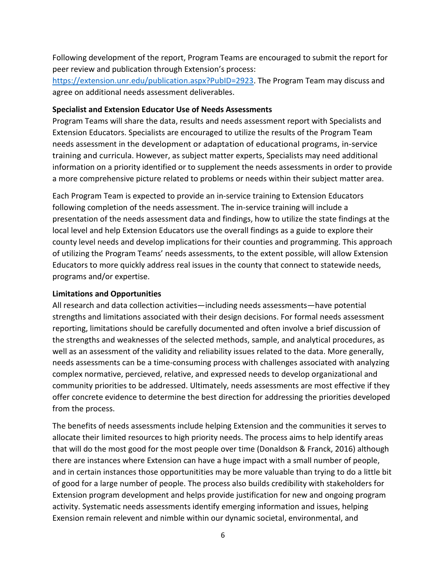Following development of the report, Program Teams are encouraged to submit the report for peer review and publication through Extension's process:

[https://extension.unr.edu/publication.aspx?PubID=2923.](https://extension.unr.edu/publication.aspx?PubID=2923) The Program Team may discuss and agree on additional needs assessment deliverables.

#### <span id="page-5-0"></span>**Specialist and Extension Educator Use of Needs Assessments**

 Extension Educators. Specialists are encouraged to utilize the results of the Program Team a more comprehensive picture related to problems or needs within their subject matter area. Program Teams will share the data, results and needs assessment report with Specialists and needs assessment in the development or adaptation of educational programs, in-service training and curricula. However, as subject matter experts, Specialists may need additional information on a priority identified or to supplement the needs assessments in order to provide

 presentation of the needs assessment data and findings, how to utilize the state findings at the county level needs and develop implications for their counties and programming. This approach Educators to more quickly address real issues in the county that connect to statewide needs, Each Program Team is expected to provide an in-service training to Extension Educators following completion of the needs assessment. The in-service training will include a local level and help Extension Educators use the overall findings as a guide to explore their of utilizing the Program Teams' needs assessments, to the extent possible, will allow Extension programs and/or expertise.

## <span id="page-5-1"></span>**Limitations and Opportunities**

 well as an assessment of the validity and reliability issues related to the data. More generally, offer concrete evidence to determine the best direction for addressing the priorities developed from the process. All research and data collection activities—including needs assessments—have potential strengths and limitations associated with their design decisions. For formal needs assessment reporting, limitations should be carefully documented and often involve a brief discussion of the strengths and weaknesses of the selected methods, sample, and analytical procedures, as needs assessments can be a time-consuming process with challenges associated with analyzing complex normative, percieved, relative, and expressed needs to develop organizational and community priorities to be addressed. Ultimately, needs assessments are most effective if they

 The benefits of needs assessments include helping Extension and the communities it serves to and in certain instances those opportunitities may be more valuable than trying to do a little bit of good for a large number of people. The process also builds credibility with stakeholders for Exension remain relevent and nimble within our dynamic societal, environmental, and allocate their limited resources to high priority needs. The process aims to help identify areas that will do the most good for the most people over time (Donaldson & Franck, 2016) although there are instances where Extension can have a huge impact with a small number of people, Extension program development and helps provide justification for new and ongoing program activity. Systematic needs assessments identify emerging information and issues, helping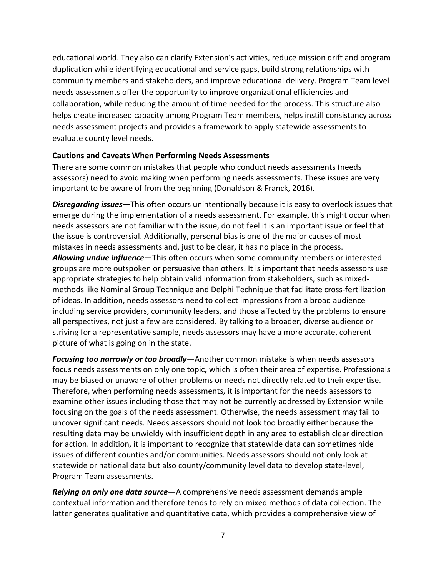collaboration, while reducing the amount of time needed for the process. This structure also educational world. They also can clarify Extension's activities, reduce mission drift and program duplication while identifying educational and service gaps, build strong relationships with community members and stakeholders, and improve educational delivery. Program Team level needs assessments offer the opportunity to improve organizational efficiencies and helps create increased capacity among Program Team members, helps instill consistancy across needs assessment projects and provides a framework to apply statewide assessments to evaluate county level needs.

#### <span id="page-6-0"></span>**Cautions and Caveats When Performing Needs Assessments**

There are some common mistakes that people who conduct needs assessments (needs assessors) need to avoid making when performing needs assessments. These issues are very important to be aware of from the beginning (Donaldson & Franck, 2016).

 *Disregarding issues***—**This often occurs unintentionally because it is easy to overlook issues that needs assessors are not familiar with the issue, do not feel it is an important issue or feel that mistakes in needs assessments and, just to be clear, it has no place in the process. including service providers, community leaders, and those affected by the problems to ensure all perspectives, not just a few are considered. By talking to a broader, diverse audience or striving for a representative sample, needs assessors may have a more accurate, coherent emerge during the implementation of a needs assessment. For example, this might occur when the issue is controversial. Additionally, personal bias is one of the major causes of most *Allowing undue influence***—**This often occurs when some community members or interested groups are more outspoken or persuasive than others. It is important that needs assessors use appropriate strategies to help obtain valid information from stakeholders, such as mixedmethods like Nominal Group Technique and Delphi Technique that facilitate cross-fertilization of ideas. In addition, needs assessors need to collect impressions from a broad audience picture of what is going on in the state.

 focus needs assessments on only one topic**,** which is often their area of expertise. Professionals focusing on the goals of the needs assessment. Otherwise, the needs assessment may fail to resulting data may be unwieldy with insufficient depth in any area to establish clear direction for action. In addition, it is important to recognize that statewide data can sometimes hide issues of different counties and/or communities. Needs assessors should not only look at statewide or national data but also county/community level data to develop state-level, *Focusing too narrowly or too broadly***—**Another common mistake is when needs assessors may be biased or unaware of other problems or needs not directly related to their expertise. Therefore, when performing needs assessments, it is important for the needs assessors to examine other issues including those that may not be currently addressed by Extension while uncover significant needs. Needs assessors should not look too broadly either because the Program Team assessments.

 contextual information and therefore tends to rely on mixed methods of data collection. The *Relying on only one data source***—**A comprehensive needs assessment demands ample latter generates qualitative and quantitative data, which provides a comprehensive view of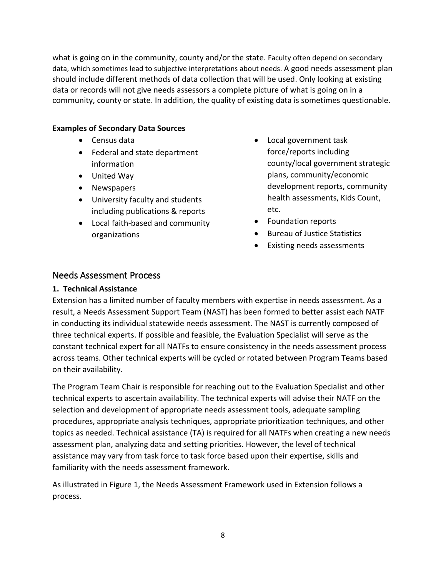should include different methods of data collection that will be used. Only looking at existing data or records will not give needs assessors a complete picture of what is going on in a community, county or state. In addition, the quality of existing data is sometimes questionable. what is going on in the community, county and/or the state. Faculty often depend on secondary data, which sometimes lead to subjective interpretations about needs. A good needs assessment plan

## <span id="page-7-0"></span>**Examples of Secondary Data Sources**

- Census data
- Federal and state department information
- United Way
- Newspapers
- including publications & reports • University faculty and students
- Local faith-based and community organizations
- Local government task force/reports including county/local government strategic plans, community/economic development reports, community health assessments, Kids Count, etc.
- Foundation reports
- Bureau of Justice Statistics
- Existing needs assessments

## <span id="page-7-1"></span>Needs Assessment Process

## <span id="page-7-2"></span>**1. Technical Assistance**

 three technical experts. If possible and feasible, the Evaluation Specialist will serve as the on their availability. Extension has a limited number of faculty members with expertise in needs assessment. As a result, a Needs Assessment Support Team (NAST) has been formed to better assist each NATF in conducting its individual statewide needs assessment. The NAST is currently composed of constant technical expert for all NATFs to ensure consistency in the needs assessment process across teams. Other technical experts will be cycled or rotated between Program Teams based

 The Program Team Chair is responsible for reaching out to the Evaluation Specialist and other technical experts to ascertain availability. The technical experts will advise their NATF on the procedures, appropriate analysis techniques, appropriate prioritization techniques, and other assessment plan, analyzing data and setting priorities. However, the level of technical assistance may vary from task force to task force based upon their expertise, skills and selection and development of appropriate needs assessment tools, adequate sampling topics as needed. Technical assistance (TA) is required for all NATFs when creating a new needs familiarity with the needs assessment framework.

As illustrated in Figure 1, the Needs Assessment Framework used in Extension follows a process.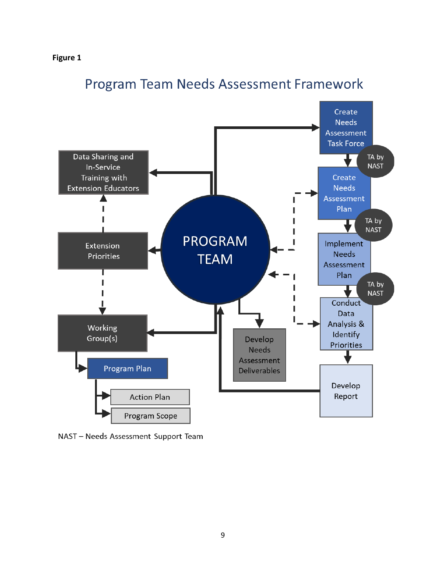## **[Figure 1](#page-0-0)**



# **Program Team Needs Assessment Framework**

NAST - Needs Assessment Support Team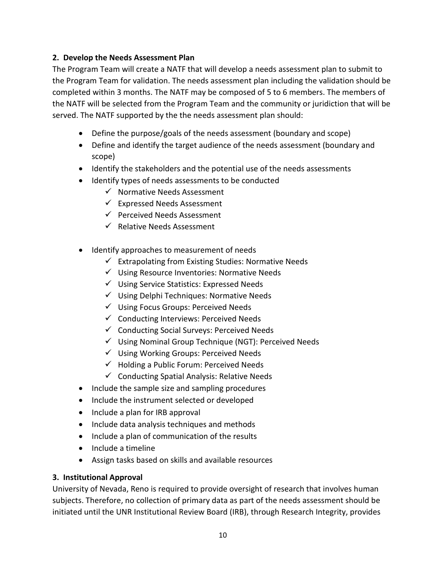## <span id="page-9-0"></span>**2. Develop the Needs Assessment Plan**

 The Program Team will create a NATF that will develop a needs assessment plan to submit to served. The NATF supported by the the needs assessment plan should: the Program Team for validation. The needs assessment plan including the validation should be completed within 3 months. The NATF may be composed of 5 to 6 members. The members of the NATF will be selected from the Program Team and the community or juridiction that will be

- Define the purpose/goals of the needs assessment (boundary and scope)
- • Define and identify the target audience of the needs assessment (boundary and scope)
- Identify the stakeholders and the potential use of the needs assessments
- Identify types of needs assessments to be conducted
	- $\checkmark$  Normative Needs Assessment
	- $\checkmark$  Expressed Needs Assessment
	- $\checkmark$  Perceived Needs Assessment
	- $\checkmark$  Relative Needs Assessment
- Identify approaches to measurement of needs
	- $\checkmark$  Extrapolating from Existing Studies: Normative Needs
	- $\checkmark$  Using Resource Inventories: Normative Needs
	- $\checkmark$  Using Service Statistics: Expressed Needs
	- $\checkmark$  Using Delphi Techniques: Normative Needs
	- $\checkmark$  Using Focus Groups: Perceived Needs
	- $\checkmark$  Conducting Interviews: Perceived Needs
	- $\checkmark$  Conducting Social Surveys: Perceived Needs
	- $\checkmark$  Using Nominal Group Technique (NGT): Perceived Needs
	- $\checkmark$  Using Working Groups: Perceived Needs
	- $\checkmark$  Holding a Public Forum: Perceived Needs
	- $\checkmark$  Conducting Spatial Analysis: Relative Needs
- Include the sample size and sampling procedures
- Include the instrument selected or developed
- Include a plan for IRB approval
- Include data analysis techniques and methods
- Include a plan of communication of the results
- Include a timeline
- Assign tasks based on skills and available resources

## <span id="page-9-1"></span>**3. Institutional Approval**

 University of Nevada, Reno is required to provide oversight of research that involves human subjects. Therefore, no collection of primary data as part of the needs assessment should be initiated until the UNR Institutional Review Board (IRB), through Research Integrity, provides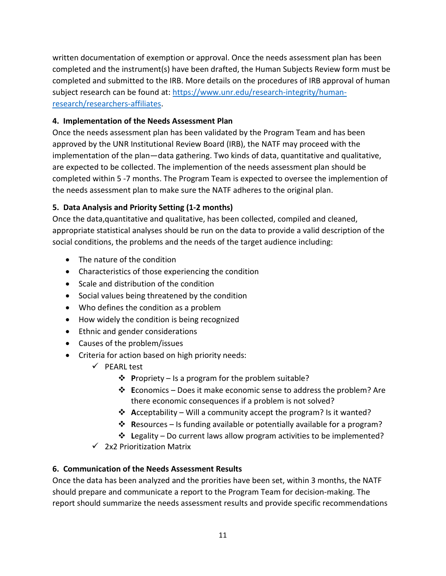completed and the instrument(s) have been drafted, the Human Subjects Review form must be written documentation of exemption or approval. Once the needs assessment plan has been completed and submitted to the IRB. More details on the procedures of IRB approval of human subject research can be found at: [https://www.unr.edu/research-integrity/human](https://www.unr.edu/research-integrity/human-research/researchers-affiliates)[research/researchers-affiliates.](https://www.unr.edu/research-integrity/human-research/researchers-affiliates)

## <span id="page-10-0"></span>**4. Implementation of the Needs Assessment Plan**

 approved by the UNR Institutional Review Board (IRB), the NATF may proceed with the completed within 5 -7 months. The Program Team is expected to oversee the implemention of the needs assessment plan to make sure the NATF adheres to the original plan. Once the needs assessment plan has been validated by the Program Team and has been implementation of the plan—data gathering. Two kinds of data, quantitative and qualitative, are expected to be collected. The implemention of the needs assessment plan should be

## <span id="page-10-1"></span>**5. Data Analysis and Priority Setting (1-2 months)**

 social conditions, the problems and the needs of the target audience including: Once the data,quantitative and qualitative, has been collected, compiled and cleaned, appropriate statistical analyses should be run on the data to provide a valid description of the

- The nature of the condition
- Characteristics of those experiencing the condition
- Scale and distribution of the condition
- Social values being threatened by the condition
- Who defines the condition as a problem
- How widely the condition is being recognized
- Ethnic and gender considerations
- Causes of the problem/issues
- • Criteria for action based on high priority needs:
	- $\checkmark$  PEARL test
		- **P**ropriety Is a program for the problem suitable?
		- **E**conomics Does it make economic sense to address the problem? Are there economic consequences if a problem is not solved?
		- **A**cceptability Will a community accept the program? Is it wanted?
		- **R**esources Is funding available or potentially available for a program?
		- **↑ Legality** Do current laws allow program activities to be implemented?
	- $\checkmark$  2x2 Prioritization Matrix

## <span id="page-10-2"></span> **6. Communication of the Needs Assessment Results**

 Once the data has been analyzed and the prorities have been set, within 3 months, the NATF should prepare and communicate a report to the Program Team for decision-making. The report should summarize the needs assessment results and provide specific recommendations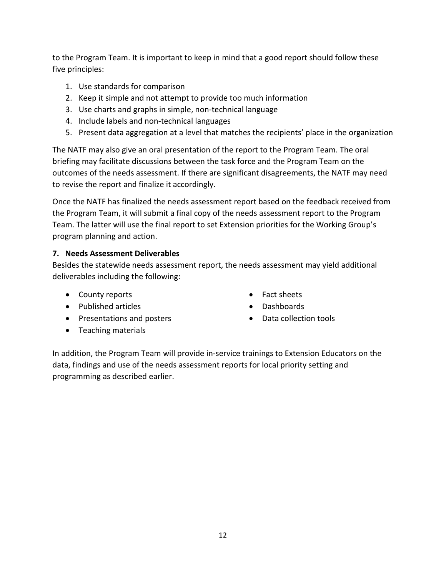to the Program Team. It is important to keep in mind that a good report should follow these five principles:

- 1. Use standards for comparison
- 2. Keep it simple and not attempt to provide too much information
- 3. Use charts and graphs in simple, non-technical language
- 4. Include labels and non-technical languages
- 5. Present data aggregation at a level that matches the recipients' place in the organization

 The NATF may also give an oral presentation of the report to the Program Team. The oral outcomes of the needs assessment. If there are significant disagreements, the NATF may need briefing may facilitate discussions between the task force and the Program Team on the to revise the report and finalize it accordingly.

 Once the NATF has finalized the needs assessment report based on the feedback received from Team. The latter will use the final report to set Extension priorities for the Working Group's the Program Team, it will submit a final copy of the needs assessment report to the Program program planning and action.

## <span id="page-11-0"></span> **7. Needs Assessment Deliverables**

Besides the statewide needs assessment report, the needs assessment may yield additional deliverables including the following:

- County reports Fact sheets
- Published articles Dashboards
- Presentations and posters Data collection tools
- Teaching materials
- 
- 
- 

 In addition, the Program Team will provide in-service trainings to Extension Educators on the programming as described earlier. data, findings and use of the needs assessment reports for local priority setting and programming as described earlier.<br>
12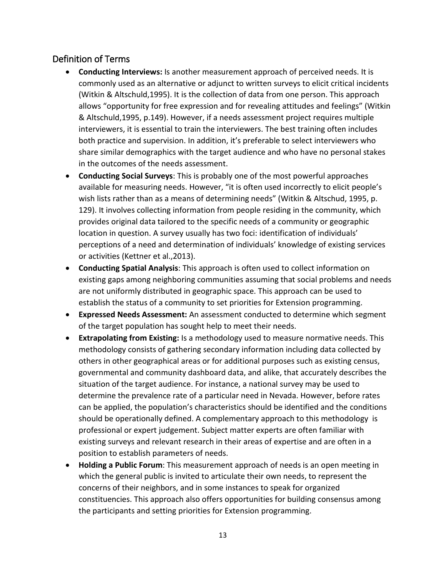## <span id="page-12-0"></span>Definition of Terms

- (Witkin & Altschuld,1995). It is the collection of data from one person. This approach both practice and supervision. In addition, it's preferable to select interviewers who in the outcomes of the needs assessment. • **Conducting Interviews:** Is another measurement approach of perceived needs. It is commonly used as an alternative or adjunct to written surveys to elicit critical incidents allows "opportunity for free expression and for revealing attitudes and feelings" (Witkin & Altschuld,1995, p.149). However, if a needs assessment project requires multiple interviewers, it is essential to train the interviewers. The best training often includes share similar demographics with the target audience and who have no personal stakes
- available for measuring needs. However, "it is often used incorrectly to elicit people's wish lists rather than as a means of determining needs" (Witkin & Altschud, 1995, p. • **Conducting Social Surveys**: This is probably one of the most powerful approaches 129). It involves collecting information from people residing in the community, which provides original data tailored to the specific needs of a community or geographic location in question. A survey usually has two foci: identification of individuals' perceptions of a need and determination of individuals' knowledge of existing services or activities (Kettner et al.,2013).
- • **Conducting Spatial Analysis**: This approach is often used to collect information on establish the status of a community to set priorities for Extension programming. existing gaps among neighboring communities assuming that social problems and needs are not uniformly distributed in geographic space. This approach can be used to
- **Expressed Needs Assessment:** An assessment conducted to determine which segment of the target population has sought help to meet their needs.
- • **Extrapolating from Existing:** Is a methodology used to measure normative needs. This determine the prevalence rate of a particular need in Nevada. However, before rates should be operationally defined. A complementary approach to this methodology is position to establish parameters of needs. methodology consists of gathering secondary information including data collected by others in other geographical areas or for additional purposes such as existing census, governmental and community dashboard data, and alike, that accurately describes the situation of the target audience. For instance, a national survey may be used to can be applied, the population's characteristics should be identified and the conditions professional or expert judgement. Subject matter experts are often familiar with existing surveys and relevant research in their areas of expertise and are often in a
- • **Holding a Public Forum**: This measurement approach of needs is an open meeting in which the general public is invited to articulate their own needs, to represent the concerns of their neighbors, and in some instances to speak for organized constituencies. This approach also offers opportunities for building consensus among the participants and setting priorities for Extension programming.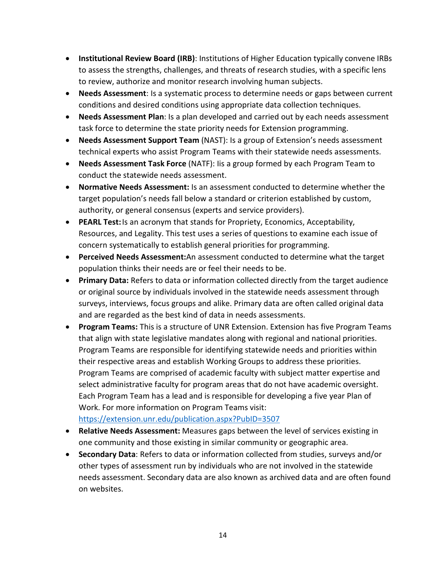- to assess the strengths, challenges, and threats of research studies, with a specific lens • **Institutional Review Board (IRB)**: Institutions of Higher Education typically convene IRBs to review, authorize and monitor research involving human subjects.
- • **Needs Assessment**: Is a systematic process to determine needs or gaps between current conditions and desired conditions using appropriate data collection techniques.
- task force to determine the state priority needs for Extension programming. • **Needs Assessment Plan**: Is a plan developed and carried out by each needs assessment
- • **Needs Assessment Support Team** (NAST): Is a group of Extension's needs assessment technical experts who assist Program Teams with their statewide needs assessments.
- • **Needs Assessment Task Force** (NATF): Iis a group formed by each Program Team to conduct the statewide needs assessment.
- • **Normative Needs Assessment:** Is an assessment conducted to determine whether the target population's needs fall below a standard or criterion established by custom, authority, or general consensus (experts and service providers).
- Resources, and Legality. This test uses a series of questions to examine each issue of concern systematically to establish general priorities for programming. • **PEARL Test:** Is an acronym that stands for Propriety, Economics, Acceptability,
- **Perceived Needs Assessment:**An assessment conducted to determine what the target population thinks their needs are or feel their needs to be.
- • **Primary Data:** Refers to data or information collected directly from the target audience or original source by individuals involved in the statewide needs assessment through surveys, interviews, focus groups and alike. Primary data are often called original data and are regarded as the best kind of data in needs assessments.
- that align with state legislative mandates along with regional and national priorities. select administrative faculty for program areas that do not have academic oversight. Each Program Team has a lead and is responsible for developing a five year Plan of • **Program Teams:** This is a structure of UNR Extension. Extension has five Program Teams Program Teams are responsible for identifying statewide needs and priorities within their respective areas and establish Working Groups to address these priorities. Program Teams are comprised of academic faculty with subject matter expertise and Work. For more information on Program Teams visit: <https://extension.unr.edu/publication.aspx?PubID=3507>
- **Relative Needs Assessment:** Measures gaps between the level of services existing in one community and those existing in similar community or geographic area.
- other types of assessment run by individuals who are not involved in the statewide • **Secondary Data**: Refers to data or information collected from studies, surveys and/or needs assessment. Secondary data are also known as archived data and are often found on websites.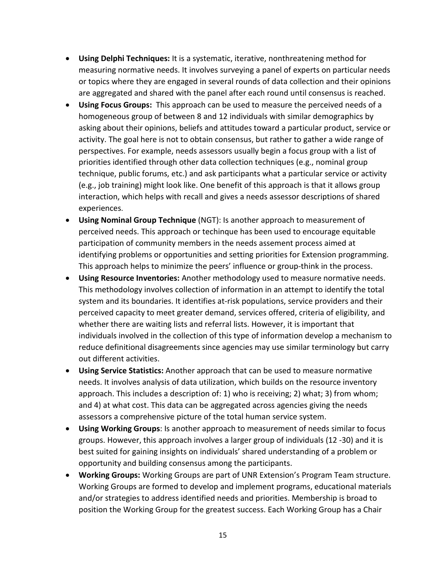- or topics where they are engaged in several rounds of data collection and their opinions • **Using Delphi Techniques:** It is a systematic, iterative, nonthreatening method for measuring normative needs. It involves surveying a panel of experts on particular needs are aggregated and shared with the panel after each round until consensus is reached.
- homogeneous group of between 8 and 12 individuals with similar demographics by (e.g., job training) might look like. One benefit of this approach is that it allows group • **Using Focus Groups:** This approach can be used to measure the perceived needs of a asking about their opinions, beliefs and attitudes toward a particular product, service or activity. The goal here is not to obtain consensus, but rather to gather a wide range of perspectives. For example, needs assessors usually begin a focus group with a list of priorities identified through other data collection techniques (e.g., nominal group technique, public forums, etc.) and ask participants what a particular service or activity interaction, which helps with recall and gives a needs assessor descriptions of shared experiences.
- perceived needs. This approach or techinque has been used to encourage equitable • **Using Nominal Group Technique** (NGT): Is another approach to measurement of participation of community members in the needs assement process aimed at identifying problems or opportunities and setting priorities for Extension programming. This approach helps to minimize the peers' influence or group-think in the process.
- • **Using Resource Inventories:** Another methodology used to measure normative needs. This methodology involves collection of information in an attempt to identify the total individuals involved in the collection of this type of information develop a mechanism to system and its boundaries. It identifies at-risk populations, service providers and their perceived capacity to meet greater demand, services offered, criteria of eligibility, and whether there are waiting lists and referral lists. However, it is important that reduce definitional disagreements since agencies may use similar terminology but carry out different activities.
- • **Using Service Statistics:** Another approach that can be used to measure normative needs. It involves analysis of data utilization, which builds on the resource inventory approach. This includes a description of: 1) who is receiving; 2) what; 3) from whom; assessors a comprehensive picture of the total human service system. and 4) at what cost. This data can be aggregated across agencies giving the needs
- opportunity and building consensus among the participants. • **Using Working Groups**: Is another approach to measurement of needs similar to focus groups. However, this approach involves a larger group of individuals (12 -30) and it is best suited for gaining insights on individuals' shared understanding of a problem or
- Working Groups are formed to develop and implement programs, educational materials and/or strategies to address identified needs and priorities. Membership is broad to • **Working Groups:** Working Groups are part of UNR Extension's Program Team structure. position the Working Group for the greatest success. Each Working Group has a Chair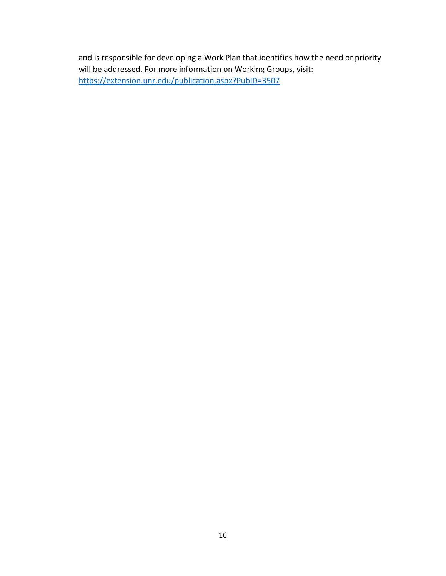and is responsible for developing a Work Plan that identifies how the need or priority will be addressed. For more information on Working Groups, visit: <https://extension.unr.edu/publication.aspx?PubID=3507>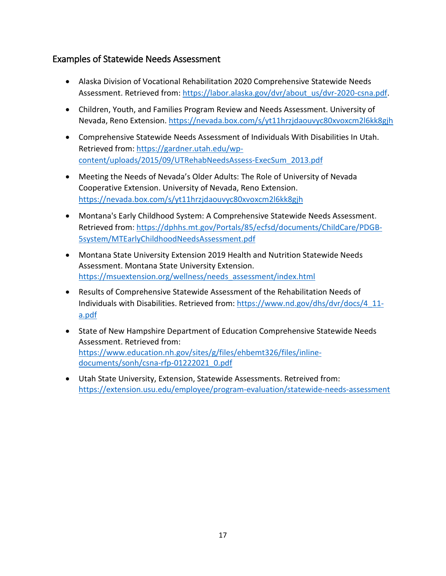## <span id="page-16-0"></span>Examples of Statewide Needs Assessment

- Alaska Division of Vocational Rehabilitation 2020 Comprehensive Statewide Needs Assessment. Retrieved from: [https://labor.alaska.gov/dvr/about\\_us/dvr-2020-csna.pdf.](https://labor.alaska.gov/dvr/about_us/dvr-2020-csna.pdf)
- • Children, Youth, and Families Program Review and Needs Assessment. University of Nevada, Reno Extension[. https://nevada.box.com/s/yt11hrzjdaouvyc80xvoxcm2l6kk8gjh](https://nevada.box.com/s/yt11hrzjdaouvyc80xvoxcm2l6kk8gjh)
- Comprehensive Statewide Needs Assessment of Individuals With Disabilities In Utah. Retrieved from: [https://gardner.utah.edu/wp](https://gardner.utah.edu/wp-content/uploads/2015/09/UTRehabNeedsAssess-ExecSum_2013.pdf)[content/uploads/2015/09/UTRehabNeedsAssess-ExecSum\\_2013.pdf](https://gardner.utah.edu/wp-content/uploads/2015/09/UTRehabNeedsAssess-ExecSum_2013.pdf)
- Meeting the Needs of Nevada's Older Adults: The Role of University of Nevada Cooperative Extension. University of Nevada, Reno Extension. <https://nevada.box.com/s/yt11hrzjdaouvyc80xvoxcm2l6kk8gjh>
- Montana's Early Childhood System: A Comprehensive Statewide Needs Assessment. Retrieved from: [https://dphhs.mt.gov/Portals/85/ecfsd/documents/ChildCare/PDGB-](https://dphhs.mt.gov/Portals/85/ecfsd/documents/ChildCare/PDGB-5system/MTEarlyChildhoodNeedsAssessment.pdf)[5system/MTEarlyChildhoodNeedsAssessment.pdf](https://dphhs.mt.gov/Portals/85/ecfsd/documents/ChildCare/PDGB-5system/MTEarlyChildhoodNeedsAssessment.pdf)
- • Montana State University Extension 2019 Health and Nutrition Statewide Needs Assessment. Montana State University Extension. https://msuextension.org/wellness/needs\_assessment/index.html
- Individuals with Disabilities. Retrieved from: [https://www.nd.gov/dhs/dvr/docs/4\\_11-](https://www.nd.gov/dhs/dvr/docs/4_11-a.pdf) • Results of Comprehensive Statewide Assessment of the Rehabilitation Needs of [a.pdf](https://www.nd.gov/dhs/dvr/docs/4_11-a.pdf)
- • State of New Hampshire Department of Education Comprehensive Statewide Needs Assessment. Retrieved from: [https://www.education.nh.gov/sites/g/files/ehbemt326/files/inline](https://www.education.nh.gov/sites/g/files/ehbemt326/files/inline-documents/sonh/csna-rfp-01222021_0.pdf)[documents/sonh/csna-rfp-01222021\\_0.pdf](https://www.education.nh.gov/sites/g/files/ehbemt326/files/inline-documents/sonh/csna-rfp-01222021_0.pdf)
- Utah State University, Extension, Statewide Assessments. Retreived from: <https://extension.usu.edu/employee/program-evaluation/statewide-needs-assessment>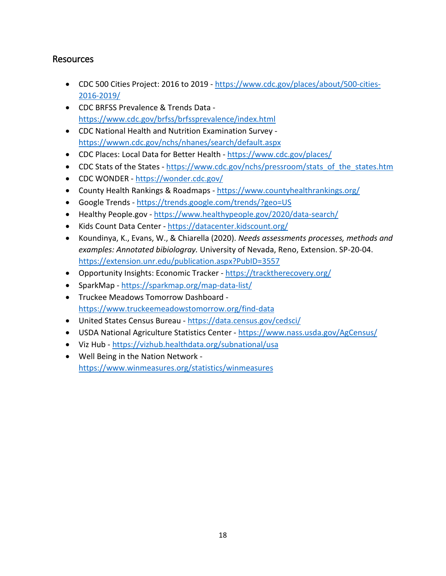## <span id="page-17-0"></span>Resources

- CDC 500 Cities Project: 2016 to 2019 [https://www.cdc.gov/places/about/500-cities-](https://www.cdc.gov/places/about/500-cities-2016-2019/)[2016-2019/](https://www.cdc.gov/places/about/500-cities-2016-2019/)
- CDC BRFSS Prevalence & Trends Data <https://www.cdc.gov/brfss/brfssprevalence/index.html>
- • CDC National Health and Nutrition Examination Survey <https://wwwn.cdc.gov/nchs/nhanes/search/default.aspx>
- CDC Places: Local Data for Better Health <https://www.cdc.gov/places/>
- CDC Stats of the States https://www.cdc.gov/nchs/pressroom/stats\_of\_the\_states.htm
- CDC WONDER <https://wonder.cdc.gov/>
- County Health Rankings & Roadmaps <https://www.countyhealthrankings.org/>
- Google Trends <https://trends.google.com/trends/?geo=US>
- Healthy People.gov <https://www.healthypeople.gov/2020/data-search/>
- Kids Count Data Center <https://datacenter.kidscount.org/>
- <https://extension.unr.edu/publication.aspx?PubID=3557>• Koundinya, K., Evans, W., & Chiarella (2020). *Needs assessments processes, methods and examples: Annotated bibiologray.* University of Nevada, Reno, Extension. SP-20-04.
- Opportunity Insights: Economic Tracker https://tracktherecovery.org/
- SparkMap <https://sparkmap.org/map-data-list/>
- Truckee Meadows Tomorrow Dashboard <https://www.truckeemeadowstomorrow.org/find-data>
- United States Census Bureau <https://data.census.gov/cedsci/>
- USDA National Agriculture Statistics Center https://www.nass.usda.gov/AgCensus/
- Viz Hub https://vizhub.healthdata.org/subnational/usa
- Well Being in the Nation Network <https://www.winmeasures.org/statistics/winmeasures>